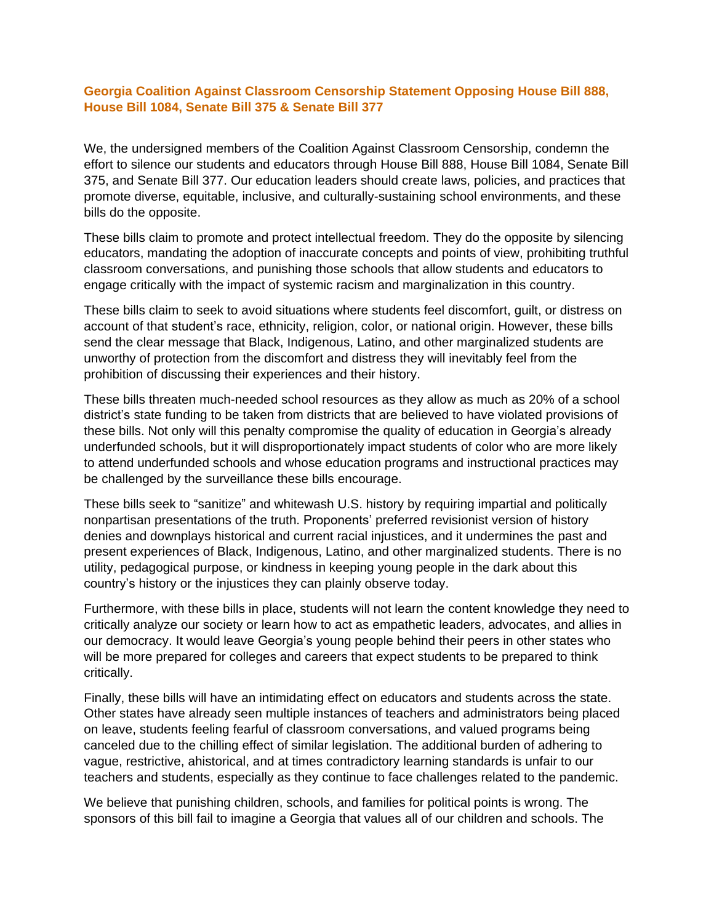## **Georgia Coalition Against Classroom Censorship Statement Opposing House Bill 888, House Bill 1084, Senate Bill 375 & Senate Bill 377**

We, the undersigned members of the Coalition Against Classroom Censorship, condemn the effort to silence our students and educators through House Bill 888, House Bill 1084, Senate Bill 375, and Senate Bill 377. Our education leaders should create laws, policies, and practices that promote diverse, equitable, inclusive, and culturally-sustaining school environments, and these bills do the opposite.

These bills claim to promote and protect intellectual freedom. They do the opposite by silencing educators, mandating the adoption of inaccurate concepts and points of view, prohibiting truthful classroom conversations, and punishing those schools that allow students and educators to engage critically with the impact of systemic racism and marginalization in this country.

These bills claim to seek to avoid situations where students feel discomfort, guilt, or distress on account of that student's race, ethnicity, religion, color, or national origin. However, these bills send the clear message that Black, Indigenous, Latino, and other marginalized students are unworthy of protection from the discomfort and distress they will inevitably feel from the prohibition of discussing their experiences and their history.

These bills threaten much-needed school resources as they allow as much as 20% of a school district's state funding to be taken from districts that are believed to have violated provisions of these bills. Not only will this penalty compromise the quality of education in Georgia's already underfunded schools, but it will disproportionately impact students of color who are more likely to attend underfunded schools and whose education programs and instructional practices may be challenged by the surveillance these bills encourage.

These bills seek to "sanitize" and whitewash U.S. history by requiring impartial and politically nonpartisan presentations of the truth. Proponents' preferred revisionist version of history denies and downplays historical and current racial injustices, and it undermines the past and present experiences of Black, Indigenous, Latino, and other marginalized students. There is no utility, pedagogical purpose, or kindness in keeping young people in the dark about this country's history or the injustices they can plainly observe today.

Furthermore, with these bills in place, students will not learn the content knowledge they need to critically analyze our society or learn how to act as empathetic leaders, advocates, and allies in our democracy. It would leave Georgia's young people behind their peers in other states who will be more prepared for colleges and careers that expect students to be prepared to think critically.

Finally, these bills will have an intimidating effect on educators and students across the state. Other states have already seen multiple instances of teachers and administrators being placed on leave, students feeling fearful of classroom conversations, and valued programs being canceled due to the chilling effect of similar legislation. The additional burden of adhering to vague, restrictive, ahistorical, and at times contradictory learning standards is unfair to our teachers and students, especially as they continue to face challenges related to the pandemic.

We believe that punishing children, schools, and families for political points is wrong. The sponsors of this bill fail to imagine a Georgia that values all of our children and schools. The